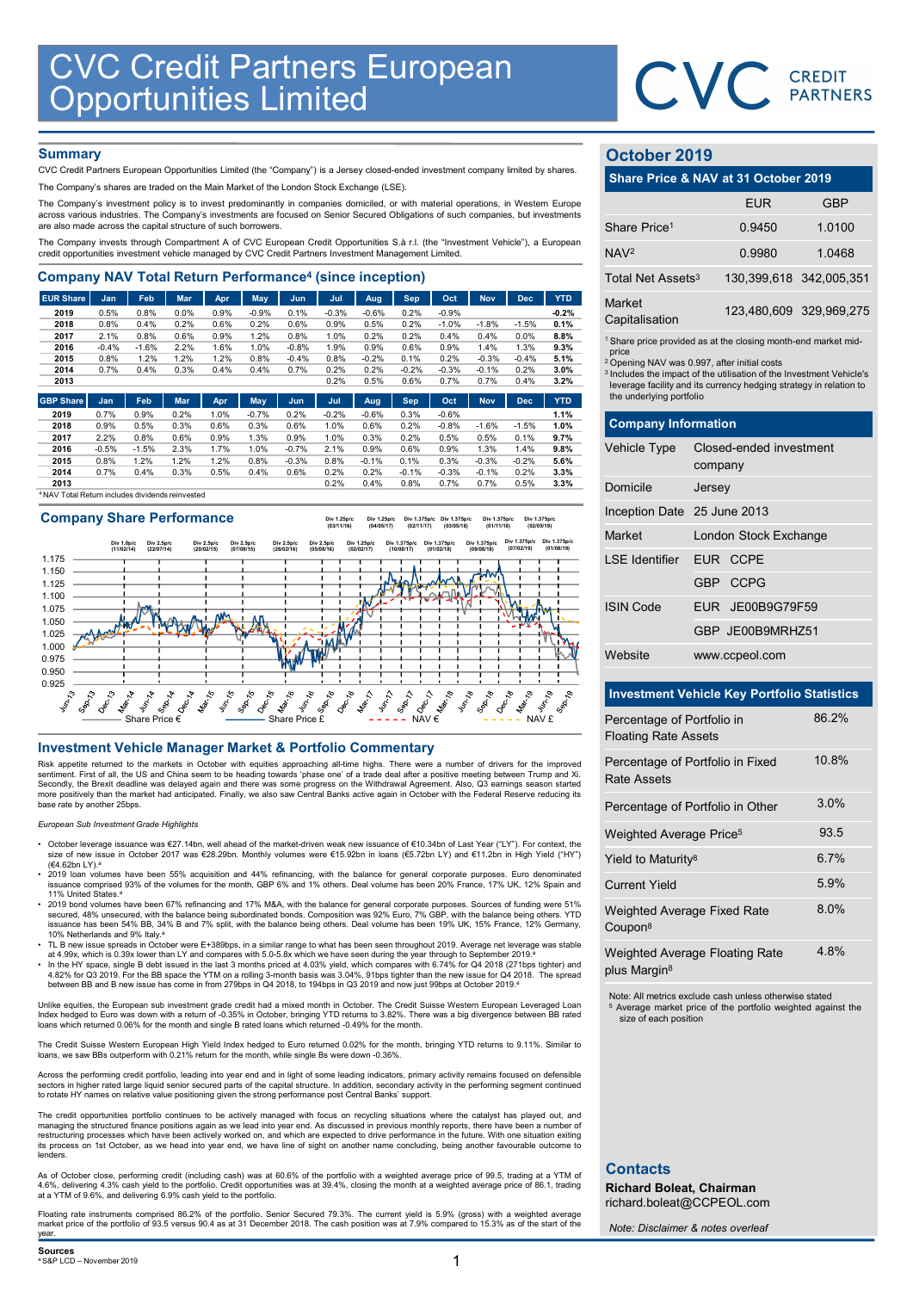

## **Summary**

| <b>CVC Credit Partners European<br/>Opportunities Limited</b>                                                                                                                                      |              |              |              |              |              |              |              |              |              |                 |                 |                 |              |                               |                                                                               |            |
|----------------------------------------------------------------------------------------------------------------------------------------------------------------------------------------------------|--------------|--------------|--------------|--------------|--------------|--------------|--------------|--------------|--------------|-----------------|-----------------|-----------------|--------------|-------------------------------|-------------------------------------------------------------------------------|------------|
|                                                                                                                                                                                                    |              |              |              |              |              |              |              |              |              |                 |                 |                 |              |                               | <b>CVC</b> CREDIT                                                             |            |
|                                                                                                                                                                                                    |              |              |              |              |              |              |              |              |              |                 |                 |                 |              |                               |                                                                               |            |
|                                                                                                                                                                                                    |              |              |              |              |              |              |              |              |              |                 |                 |                 |              |                               |                                                                               |            |
| <b>Summary</b>                                                                                                                                                                                     |              |              |              |              |              |              |              |              |              |                 |                 |                 |              | October 2019                  |                                                                               |            |
| CVC Credit Partners European Opportunities Limited (the "Company") is a Jersey closed-ended investment company limited by shares.                                                                  |              |              |              |              |              |              |              |              |              |                 |                 |                 |              |                               |                                                                               |            |
| The Company's shares are traded on the Main Market of the London Stock Exchange (LSE).                                                                                                             |              |              |              |              |              |              |              |              |              |                 |                 |                 |              |                               | Share Price & NAV at 31 October 2019                                          |            |
| The Company's investment policy is to invest predominantly in companies domiciled, or with material operations, in Western Europe                                                                  |              |              |              |              |              |              |              |              |              |                 |                 |                 |              |                               | <b>EUR</b>                                                                    | <b>GBP</b> |
| across various industries. The Company's investments are focused on Senior Secured Obligations of such companies, but investments<br>are also made across the capital structure of such borrowers. |              |              |              |              |              |              |              |              |              |                 |                 |                 |              | Share Price <sup>1</sup>      | 0.9450                                                                        | 1.0100     |
| The Company invests through Compartment A of CVC European Credit Opportunities S.à r.l. (the "Investment Vehicle"), a European                                                                     |              |              |              |              |              |              |              |              |              |                 |                 |                 |              |                               |                                                                               |            |
| credit opportunities investment vehicle managed by CVC Credit Partners Investment Management Limited.                                                                                              |              |              |              |              |              |              |              |              |              |                 |                 |                 |              | NAV <sup>2</sup>              | 0.9980                                                                        | 1.0468     |
| <b>Company NAV Total Return Performance<sup>4</sup> (since inception)</b>                                                                                                                          |              |              |              |              |              |              |              |              |              |                 |                 |                 |              | Total Net Assets <sup>3</sup> | 130,399,618 342,005,35                                                        |            |
| <b>EUR Share</b>                                                                                                                                                                                   | Jan          | Feb          | Mar          | Apr          | <b>May</b>   | Jun          | Jul          | Aug          | <b>Sep</b>   | Oct             | <b>Nov</b>      | <b>Dec</b>      | <b>YTD</b>   | Market                        |                                                                               |            |
| 2019                                                                                                                                                                                               | 0.5%         | 0.8%         | 0.0%         | 0.9%         | $-0.9%$      | 0.1%         | $-0.3%$      | $-0.6%$      | 0.2%         | $-0.9%$         |                 |                 | $-0.2%$      | Capitalisation                | 123,480,609 329,969,27                                                        |            |
| 2018<br>2017                                                                                                                                                                                       | 0.8%<br>2.1% | 0.4%<br>0.8% | 0.2%<br>0.6% | 0.6%<br>0.9% | 0.2%<br>1.2% | 0.6%<br>0.8% | 0.9%<br>1.0% | 0.5%<br>0.2% | 0.2%<br>0.2% | $-1.0%$<br>0.4% | $-1.8%$<br>0.4% | $-1.5%$<br>0.0% | 0.1%<br>8.8% |                               |                                                                               |            |
| 2016                                                                                                                                                                                               | $-0.4%$      | $-1.6%$      | 2.2%         | 1.6%         | 1.0%         | $-0.8%$      | 1.9%         | 0.9%         | 0.6%         | 0.9%            | 1.4%            | 1.3%            | 9.3%         |                               | <sup>1</sup> Share price provided as at the closing month-end market mid      |            |
| 2015                                                                                                                                                                                               | 0.8%         | 1.2%         | 1.2%         | 1.2%         | 0.8%         | $-0.4%$      | 0.8%         | $-0.2%$      | 0.1%         | 0.2%            | $-0.3%$         | $-0.4%$         | 5.1%         | price                         | <sup>2</sup> Opening NAV was 0.997, after initial costs                       |            |
| 2014                                                                                                                                                                                               | 0.7%         | 0.4%         | 0.3%         | 0.4%         | 0.4%         | 0.7%         | 0.2%         | 0.2%         | $-0.2%$      | $-0.3%$         | $-0.1%$         | 0.2%            | 3.0%         |                               | <sup>3</sup> Includes the impact of the utilisation of the Investment Vehicle |            |
| 2013                                                                                                                                                                                               |              |              |              |              |              |              | 0.2%         | 0.5%         | 0.6%         | 0.7%            | 0.7%            | 0.4%            | 3.2%         |                               | leverage facility and its currency hedging strategy in relation t             |            |
| <b>GBP Share</b>                                                                                                                                                                                   | Jan          | Feb          | Mar          | Apr          | May          | Jun          | Jul          | Aug          | <b>Sep</b>   | Oct             | <b>Nov</b>      | <b>Dec</b>      | <b>YTD</b>   | the underlying portfolio      |                                                                               |            |
| 2019                                                                                                                                                                                               | 0.7%         | 0.9%         | 0.2%         | 1.0%         | $-0.7%$      | 0.2%         | $-0.2%$      | $-0.6%$      | 0.3%         | $-0.6%$         |                 |                 | 1.1%         |                               |                                                                               |            |
| 2018                                                                                                                                                                                               | 0.9%         | 0.5%         | 0.3%         | 0.6%         | 0.3%         | 0.6%         | 1.0%         | 0.6%         | 0.2%         | $-0.8%$         | $-1.6%$         | $-1.5%$         | 1.0%         | <b>Company Information</b>    |                                                                               |            |
| 2017                                                                                                                                                                                               | 2.2%         | 0.8%         | 0.6%         | 0.9%         | 1.3%         | 0.9%         | 1.0%         | 0.3%         | 0.2%         | 0.5%            | 0.5%            | 0.1%            | 9.7%         |                               |                                                                               |            |
| 2016                                                                                                                                                                                               | $-0.5%$      | $-1.5%$      | 2.3%         | 1.7%         | 1.0%         | $-0.7%$      | 2.1%         | 0.9%         | 0.6%         | 0.9%            | 1.3%            | 1.4%            | 9.8%         | <b>Vehicle Type</b>           | Closed-ended investment                                                       |            |
| 2015                                                                                                                                                                                               | 0.8%         | 1.2%         | 1.2%         | 1.2%         | 0.8%         | $-0.3%$      | 0.8%         | $-0.1%$      | 0.1%         | 0.3%            | $-0.3%$         | $-0.2%$         | 5.6%         |                               | company                                                                       |            |
| 2014                                                                                                                                                                                               | 0.7%         | 0.4%         | 0.3%         | 0.5%         | 0.4%         | 0.6%         | 0.2%         | 0.2%         | $-0.1%$      | $-0.3%$         | $-0.1%$         | 0.2%            | 3.3%         |                               |                                                                               |            |
| 2013                                                                                                                                                                                               |              |              |              |              |              |              | 0.2%         | 0.4%         | 0.8%         | 0.7%            | 0.7%            | 0.5%            | 3.3%         | Domicile                      | larcay                                                                        |            |

<sup>4</sup>NAV Total Return includes dividends reinvested

## Company Share Performance



Risk appetite returned to the markets in October with equities approaching all-time highs. There were a number of drivers for the improved sentiment. First of all, the US and China seem to be heading towards 'phase one' of a trade deal after a positive meeting between Trump and Xi.<br>Secondly, the Brexit deadline was delayed again and there was some progress on more positively than the market had anticipated. Finally, we also saw Central Banks active again in October with the Federal Reserve reducing its base rate by another 25bps.

European Sub Investment Grade Highlights

- October leverage issuance was €27.14bn, well ahead of the market-driven weak new issuance of €10.34bn of Last Year ("LY"). For context, the size of new issue in October 2017 was €28.29bn. Monthly volumes were €15.92bn in loans (€5.72bn LY) and €11.2bn in High Yield ("HY")
- (€4.62bn LY).ª<br>2019 loan volumes have been 55% acquisition and 44% refinancing, with the balance for general corporate purposes. Euro denominated (<br>issuance comprised 93% of the volumes for the month, GBP 6% and 1% others. 11% United States.<sup>a</sup>
- 2019 bond volumes have been 67% refinancing and 17% M&A, with the balance for general corporate purposes. Sources of funding were 51%<br>secured, 48% unsecured, with the balance being subordinated bonds. Composition was 92 10% Netherlands and 9% Italy.<sup>6</sup>
- TL B new issue spreads in October were E+389bps, in a similar range to what has been seen throughout 2019. Average net leverage was stable
- at 4.99x, which is 0.39x lower than LY and compares with 5.0-5.8x which we have seen during the year through to September 2019.ª<br>• In the HY space, single B debt issued in the last 3 months priced at 4.03% yield, which co 4.82% for Q3 2019. For the BB space the YTM on a rolling 3-month basis was 3.04%, 91bps tighter than the new issue for Q4 2018. The spread<br>between BB and B new issue has come in from 279bps in Q4 2018, to 194bps in Q3 201

Unlike equities, the European sub investment grade credit had a mixed month in October. The Credit Suisse Western European Leveraged Loan<br>Index hedged to Euro was down with a return of -0.35% in October, bringing YTD retur

The Credit Suisse Western European High Yield Index hedged to Euro returned 0.02% for the month, bringing YTD returns to 9.11%. Similar to<br>Ioans, we saw BBs outperform with 0.21% return for the month, while single Bs were

Across the performing credit portfolio, leading into year end and in light of some leading indicators, primary activity remains focused on defensible sectors in higher rated large liquid senior secured parts of the capital structure. In addition, secondary activity in the performing segment continued to rotate HY names on relative value positioning given the strong performance post Central Banks' support.

The credit opportunities portfolio continues to be actively managed with focus on recycling situations where the catalyst has played out, and managing the structured finance positions again as we lead into year end. As discussed in previous monthly reports, there have been a number of<br>restructuring processes which have been actively worked on, and which are expe its process on 1st October, as we head into year end, we have line of sight on another name concluding, being another favourable outcome to lenders.

As of October close, performing credit (including cash) was at 60.6% of the portfolio with a weighted average price of 99.5, trading at a YTM of 4.6%, delivering 4.3% cash yield to the portfolio. Credit opportunities was at 39.4%, closing the month at a weighted average price of 86.1, trading at a YTM of 9.6%, and delivering 6.9% cash yield to the portfolio.

Floating rate instruments comprised 86.2% of the portfolio. Senior Secured 79.3%. The current yield is 5.9% (gross) with a weighted average<br>market price of the portfolio of 93.5 versus 90.4 as at 31 December 2018. The cash year.

# October 2019

|                                 | CVC CREDIT                                                                                                                                                                                                       |                         |
|---------------------------------|------------------------------------------------------------------------------------------------------------------------------------------------------------------------------------------------------------------|-------------------------|
|                                 |                                                                                                                                                                                                                  |                         |
| October 2019                    |                                                                                                                                                                                                                  |                         |
|                                 | Share Price & NAV at 31 October 2019                                                                                                                                                                             |                         |
|                                 | <b>EUR</b>                                                                                                                                                                                                       | <b>GBP</b>              |
| Share Price <sup>1</sup>        | 0.9450                                                                                                                                                                                                           | 1.0100                  |
| NAV <sup>2</sup>                | 0.9980                                                                                                                                                                                                           | 1.0468                  |
| Total Net Assets <sup>3</sup>   |                                                                                                                                                                                                                  | 130,399,618 342,005,351 |
| <b>Market</b><br>Capitalisation |                                                                                                                                                                                                                  | 123,480,609 329,969,275 |
| price                           | <sup>1</sup> Share price provided as at the closing month-end market mid-                                                                                                                                        |                         |
| the underlying portfolio        | <sup>2</sup> Opening NAV was 0.997, after initial costs<br><sup>3</sup> Includes the impact of the utilisation of the Investment Vehicle's<br>leverage facility and its currency hedging strategy in relation to |                         |
| <b>Company Information</b>      |                                                                                                                                                                                                                  |                         |
| Vehicle Type                    | Closed-ended investment<br>company                                                                                                                                                                               |                         |
| Domicile                        | Jersey                                                                                                                                                                                                           |                         |
| Inception Date 25 June 2013     |                                                                                                                                                                                                                  |                         |
| Market                          | London Stock Exchange                                                                                                                                                                                            |                         |

|                                                    |                                                                                                                                                                                                                                                                                               | <b>PARTNERS</b>         |
|----------------------------------------------------|-----------------------------------------------------------------------------------------------------------------------------------------------------------------------------------------------------------------------------------------------------------------------------------------------|-------------------------|
| October 2019                                       |                                                                                                                                                                                                                                                                                               |                         |
|                                                    | Share Price & NAV at 31 October 2019                                                                                                                                                                                                                                                          |                         |
|                                                    | <b>EUR</b>                                                                                                                                                                                                                                                                                    | <b>GBP</b>              |
| Share Price <sup>1</sup>                           | 0.9450                                                                                                                                                                                                                                                                                        | 1.0100                  |
| NAV <sup>2</sup>                                   | 0.9980                                                                                                                                                                                                                                                                                        | 1.0468                  |
| Total Net Assets <sup>3</sup>                      | 130,399,618 342,005,351                                                                                                                                                                                                                                                                       |                         |
| Market<br>Capitalisation                           |                                                                                                                                                                                                                                                                                               | 123,480,609 329,969,275 |
| price<br>the underlying portfolio                  | <sup>1</sup> Share price provided as at the closing month-end market mid-<br><sup>2</sup> Opening NAV was 0.997, after initial costs<br><sup>3</sup> Includes the impact of the utilisation of the Investment Vehicle's<br>leverage facility and its currency hedging strategy in relation to |                         |
| <b>Company Information</b>                         |                                                                                                                                                                                                                                                                                               |                         |
| Vehicle Type                                       | Closed-ended investment<br>company                                                                                                                                                                                                                                                            |                         |
| Domicile                                           | Jersey                                                                                                                                                                                                                                                                                        |                         |
| Inception Date 25 June 2013                        |                                                                                                                                                                                                                                                                                               |                         |
| Market                                             | London Stock Exchange                                                                                                                                                                                                                                                                         |                         |
| <b>LSE</b> Identifier                              | EUR CCPE                                                                                                                                                                                                                                                                                      |                         |
|                                                    | <b>CCPG</b><br>GBP -                                                                                                                                                                                                                                                                          |                         |
| <b>ISIN Code</b>                                   | JE00B9G79F59<br><b>EUR</b>                                                                                                                                                                                                                                                                    |                         |
|                                                    | GBP JE00B9MRHZ51                                                                                                                                                                                                                                                                              |                         |
| Website                                            | www.ccpeol.com                                                                                                                                                                                                                                                                                |                         |
| <b>Investment Vehicle Key Portfolio Statistics</b> |                                                                                                                                                                                                                                                                                               |                         |

## Investment Vehicle Key Portfolio Statistics

| Percentage of Portfolio in<br><b>Floating Rate Assets</b>         | 86.2% |
|-------------------------------------------------------------------|-------|
| Percentage of Portfolio in Fixed<br><b>Rate Assets</b>            | 10.8% |
| Percentage of Portfolio in Other                                  | 3.0%  |
| Weighted Average Price <sup>5</sup>                               | 93.5  |
| Yield to Maturity <sup>8</sup>                                    | 6.7%  |
| <b>Current Yield</b>                                              | 5.9%  |
| Weighted Average Fixed Rate<br>Coupon <sup>8</sup>                | 8.0%  |
| <b>Weighted Average Floating Rate</b><br>plus Margin <sup>8</sup> | 4.8%  |

Div 1.375p/

Note: All metrics exclude cash unless otherwise stated Average market price of the portfolio weighted against the size of each position

# **Contacts**

Richard Boleat, Chairman richard.boleat@CCPEOL.com

Note: Disclaimer & notes overleaf